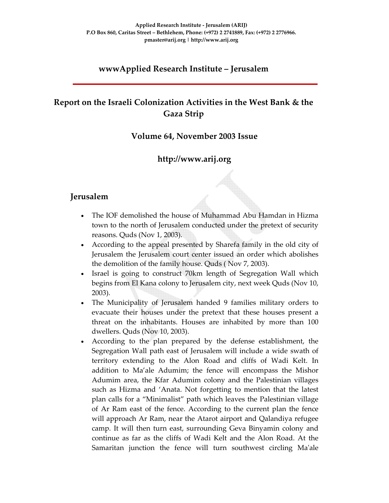#### **wwwApplied Research Institute – Jerusalem**

# **Report on the Israeli Colonization Activities in the West Bank & the Gaza Strip**

#### **Volume 64, November 2003 Issue**

#### **http://www.arij.org**

#### **Jerusalem**

- The IOF demolished the house of Muhammad Abu Hamdan in Hizma town to the north of Jerusalem conducted under the pretext of security reasons. Quds (Nov 1, 2003).
- According to the appeal presented by Sharefa family in the old city of Jerusalem the Jerusalem court center issued an order which abolishes the demolition of the family house. Quds ( Nov 7, 2003).
- Israel is going to construct 70km length of Segregation Wall which begins from El Kana colony to Jerusalem city, next week Quds (Nov 10, 2003).
- The Municipality of Jerusalem handed 9 families military orders to evacuate their houses under the pretext that these houses present a threat on the inhabitants. Houses are inhabited by more than 100 dwellers. Quds (Nov 10, 2003).
- According to the plan prepared by the defense establishment, the Segregation Wall path east of Jerusalem will include a wide swath of territory extending to the Alon Road and cliffs of Wadi Kelt. In addition to Ma'ale Adumim; the fence will encompass the Mishor Adumim area, the Kfar Adumim colony and the Palestinian villages such as Hizma and 'Anata. Not forgetting to mention that the latest plan calls for a "Minimalist" path which leaves the Palestinian village of Ar Ram east of the fence. According to the current plan the fence will approach Ar Ram, near the Atarot airport and Qalandiya refugee camp. It will then turn east, surrounding Geva Binyamin colony and continue as far as the cliffs of Wadi Kelt and the Alon Road. At the Samaritan junction the fence will turn southwest circling Maʹale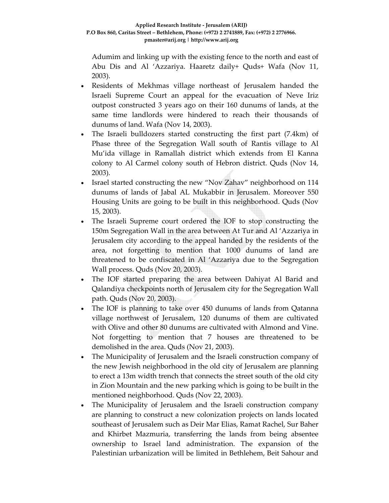Adumim and linking up with the existing fence to the north and east of Abu Dis and Al 'Azzariya. Haaretz daily+ Quds+ Wafa (Nov 11, 2003).

- Residents of Mekhmas village northeast of Jerusalem handed the Israeli Supreme Court an appeal for the evacuation of Neve Iriz outpost constructed 3 years ago on their 160 dunums of lands, at the same time landlords were hindered to reach their thousands of dunums of land. Wafa (Nov 14, 2003).
- The Israeli bulldozers started constructing the first part (7.4km) of Phase three of the Segregation Wall south of Rantis village to Al Mu'ida village in Ramallah district which extends from El Kanna colony to Al Carmel colony south of Hebron district. Quds (Nov 14, 2003).
- Israel started constructing the new "Nov Zahav" neighborhood on 114 dunums of lands of Jabal AL Mukabbir in Jerusalem. Moreover 550 Housing Units are going to be built in this neighborhood. Quds (Nov 15, 2003).
- The Israeli Supreme court ordered the IOF to stop constructing the 150m Segregation Wall in the area between At Tur and Al 'Azzariya in Jerusalem city according to the appeal handed by the residents of the area, not forgetting to mention that 1000 dunums of land are threatened to be confiscated in Al 'Azzariya due to the Segregation Wall process. Quds (Nov 20, 2003).
- The IOF started preparing the area between Dahiyat Al Barid and Qalandiya checkpoints north of Jerusalem city for the Segregation Wall path. Quds (Nov 20, 2003).
- The IOF is planning to take over 450 dunums of lands from Qatanna village northwest of Jerusalem, 120 dunums of them are cultivated with Olive and other 80 dunums are cultivated with Almond and Vine. Not forgetting to mention that 7 houses are threatened to be demolished in the area. Quds (Nov 21, 2003).
- The Municipality of Jerusalem and the Israeli construction company of the new Jewish neighborhood in the old city of Jerusalem are planning to erect a 13m width trench that connects the street south of the old city in Zion Mountain and the new parking which is going to be built in the mentioned neighborhood. Quds (Nov 22, 2003).
- The Municipality of Jerusalem and the Israeli construction company are planning to construct a new colonization projects on lands located southeast of Jerusalem such as Deir Mar Elias, Ramat Rachel, Sur Baher and Khirbet Mazmuria, transferring the lands from being absentee ownership to Israel land administration. The expansion of the Palestinian urbanization will be limited in Bethlehem, Beit Sahour and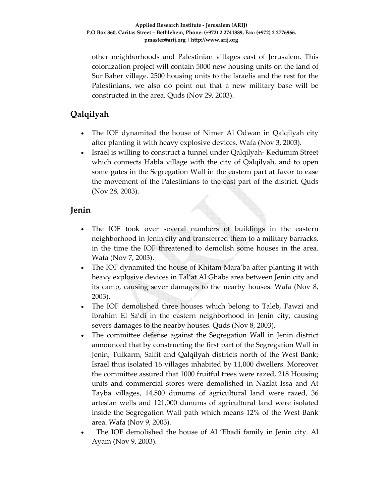other neighborhoods and Palestinian villages east of Jerusalem. This colonization project will contain 5000 new housing units on the land of Sur Baher village. 2500 housing units to the Israelis and the rest for the Palestinians, we also do point out that a new military base will be constructed in the area. Quds (Nov 29, 2003).

# **Qalqilyah**

- The IOF dynamited the house of Nimer Al Odwan in Qalqilyah city after planting it with heavy explosive devices. Wafa (Nov 3, 2003).
- Israel is willing to construct a tunnel under Qalqilyah Kedumim Street which connects Habla village with the city of Qalqilyah, and to open some gates in the Segregation Wall in the eastern part at favor to ease the movement of the Palestinians to the east part of the district. Quds (Nov 28, 2003).

# **Jenin**

- The IOF took over several numbers of buildings in the eastern neighborhood in Jenin city and transferred them to a military barracks, in the time the IOF threatened to demolish some houses in the area. Wafa (Nov 7, 2003).
- The IOF dynamited the house of Khitam Mara'ba after planting it with heavy explosive devices in Tal'at Al Ghabs area between Jenin city and its camp, causing sever damages to the nearby houses. Wafa (Nov 8, 2003).
- The IOF demolished three houses which belong to Taleb, Fawzi and Ibrahim El Sa'di in the eastern neighborhood in Jenin city, causing severs damages to the nearby houses. Quds (Nov 8, 2003).
- The committee defense against the Segregation Wall in Jenin district announced that by constructing the first part of the Segregation Wall in Jenin, Tulkarm, Salfit and Qalqilyah districts north of the West Bank; Israel thus isolated 16 villages inhabited by 11,000 dwellers. Moreover the committee assured that 1000 fruitful trees were razed, 218 Housing units and commercial stores were demolished in Nazlat Issa and At Tayba villages, 14,500 dunums of agricultural land were razed, 36 artesian wells and 121,000 dunums of agricultural land were isolated inside the Segregation Wall path which means 12% of the West Bank area. Wafa (Nov 9, 2003).
- The IOF demolished the house of Al 'Ebadi family in Jenin city. Al Ayam (Nov 9, 2003).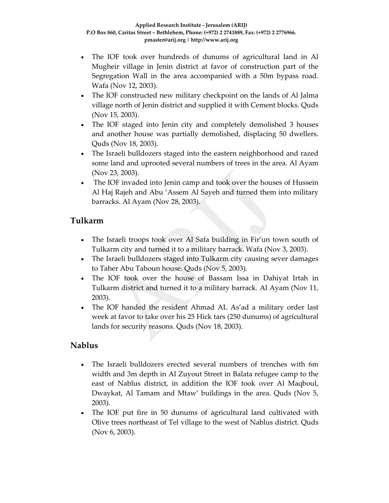- The IOF took over hundreds of dunums of agricultural land in Al Mugheir village in Jenin district at favor of construction part of the Segregation Wall in the area accompanied with a 50m bypass road. Wafa (Nov 12, 2003).
- The IOF constructed new military checkpoint on the lands of Al Jalma village north of Jenin district and supplied it with Cement blocks. Quds (Nov 15, 2003).
- The IOF staged into Jenin city and completely demolished 3 houses and another house was partially demolished, displacing 50 dwellers. Quds (Nov 18, 2003).
- The Israeli bulldozers staged into the eastern neighborhood and razed some land and uprooted several numbers of trees in the area. Al Ayam (Nov 23, 2003).
- The IOF invaded into Jenin camp and took over the houses of Hussein Al Haj Rajeh and Abu 'Assem Al Sayeh and turned them into military barracks. Al Ayam (Nov 28, 2003).

## **Tulkarm**

- The Israeli troops took over Al Safa building in Fir'un town south of Tulkarm city and turned it to a military barrack. Wafa (Nov 3, 2003).
- The Israeli bulldozers staged into Tulkarm city causing sever damages to Taher Abu Tahoun house. Quds (Nov 5, 2003).
- The IOF took over the house of Bassam Issa in Dahiyat Irtah in Tulkarm district and turned it to a military barrack. Al Ayam (Nov 11, 2003).
- The IOF handed the resident Ahmad AL As'ad a military order last week at favor to take over his 25 Hick tars (250 dunums) of agricultural lands for security reasons. Quds (Nov 18, 2003).

#### **Nablus**

- The Israeli bulldozers erected several numbers of trenches with 6m width and 3m depth in Al Zuyout Street in Balata refugee camp to the east of Nablus district, in addition the IOF took over Al Maqboul, Dwaykat, Al Tamam and Mtaw' buildings in the area. Quds (Nov 5, 2003).
- The IOF put fire in 50 dunums of agricultural land cultivated with Olive trees northeast of Tel village to the west of Nablus district. Quds (Nov 6, 2003).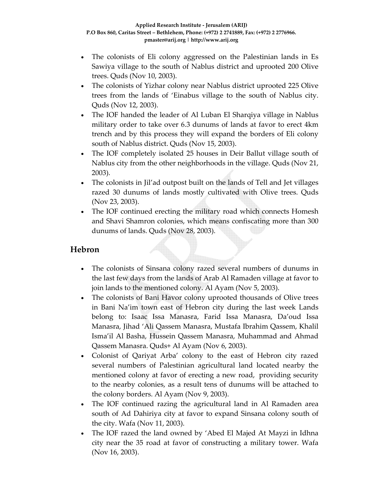- The colonists of Eli colony aggressed on the Palestinian lands in Es Sawiya village to the south of Nablus district and uprooted 200 Olive trees. Quds (Nov 10, 2003).
- The colonists of Yizhar colony near Nablus district uprooted 225 Olive trees from the lands of 'Einabus village to the south of Nablus city. Quds (Nov 12, 2003).
- The IOF handed the leader of Al Luban El Sharqiya village in Nablus military order to take over 6.3 dunums of lands at favor to erect 4km trench and by this process they will expand the borders of Eli colony south of Nablus district. Quds (Nov 15, 2003).
- The IOF completely isolated 25 houses in Deir Ballut village south of Nablus city from the other neighborhoods in the village. Quds (Nov 21, 2003).
- The colonists in Jil'ad outpost built on the lands of Tell and Jet villages razed 30 dunums of lands mostly cultivated with Olive trees. Quds (Nov 23, 2003).
- The IOF continued erecting the military road which connects Homesh and Shavi Shamron colonies, which means confiscating more than 300 dunums of lands. Quds (Nov 28, 2003).

# **Hebron**

- The colonists of Sinsana colony razed several numbers of dunums in the last few days from the lands of Arab Al Ramaden village at favor to join lands to the mentioned colony. Al Ayam (Nov 5, 2003).
- The colonists of Bani Havor colony uprooted thousands of Olive trees in Bani Na'im town east of Hebron city during the last week Lands belong to: Isaac Issa Manasra, Farid Issa Manasra, Da'oud Issa Manasra, Jihad 'Ali Qassem Manasra, Mustafa Ibrahim Qassem, Khalil Isma'il Al Basha, Hussein Qassem Manasra, Muhammad and Ahmad Qassem Manasra. Quds+ Al Ayam (Nov 6, 2003).
- Colonist of Qariyat Arba' colony to the east of Hebron city razed several numbers of Palestinian agricultural land located nearby the mentioned colony at favor of erecting a new road, providing security to the nearby colonies, as a result tens of dunums will be attached to the colony borders. Al Ayam (Nov 9, 2003).
- The IOF continued razing the agricultural land in Al Ramaden area south of Ad Dahiriya city at favor to expand Sinsana colony south of the city. Wafa (Nov 11, 2003).
- The IOF razed the land owned by 'Abed El Majed At Mayzi in Idhna city near the 35 road at favor of constructing a military tower. Wafa (Nov 16, 2003).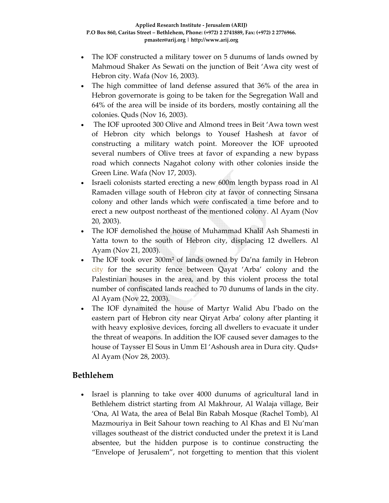- The IOF constructed a military tower on 5 dunums of lands owned by Mahmoud Shaker As Sewati on the junction of Beit 'Awa city west of Hebron city. Wafa (Nov 16, 2003).
- The high committee of land defense assured that 36% of the area in Hebron governorate is going to be taken for the Segregation Wall and 64% of the area will be inside of its borders, mostly containing all the colonies. Quds (Nov 16, 2003).
- The IOF uprooted 300 Olive and Almond trees in Beit 'Awa town west of Hebron city which belongs to Yousef Hashesh at favor of constructing a military watch point. Moreover the IOF uprooted several numbers of Olive trees at favor of expanding a new bypass road which connects Nagahot colony with other colonies inside the Green Line. Wafa (Nov 17, 2003).
- Israeli colonists started erecting a new 600m length bypass road in Al Ramaden village south of Hebron city at favor of connecting Sinsana colony and other lands which were confiscated a time before and to erect a new outpost northeast of the mentioned colony. Al Ayam (Nov 20, 2003).
- The IOF demolished the house of Muhammad Khalil Ash Shamesti in Yatta town to the south of Hebron city, displacing 12 dwellers. Al Ayam (Nov 21, 2003).
- The IOF took over 300m² of lands owned by Da'na family in Hebron city for the security fence between Qayat 'Arba' colony and the Palestinian houses in the area, and by this violent process the total number of confiscated lands reached to 70 dunums of lands in the city. Al Ayam (Nov 22, 2003).
- The IOF dynamited the house of Martyr Walid Abu I'bado on the eastern part of Hebron city near Qiryat Arba' colony after planting it with heavy explosive devices, forcing all dwellers to evacuate it under the threat of weapons. In addition the IOF caused sever damages to the house of Taysser El Sous in Umm El 'Ashoush area in Dura city. Quds+ Al Ayam (Nov 28, 2003).

#### **Bethlehem**

• Israel is planning to take over 4000 dunums of agricultural land in Bethlehem district starting from Al Makhrour, Al Walaja village, Beir 'Ona, Al Wata, the area of Belal Bin Rabah Mosque (Rachel Tomb), Al Mazmouriya in Beit Sahour town reaching to Al Khas and El Nu'man villages southeast of the district conducted under the pretext it is Land absentee, but the hidden purpose is to continue constructing the "Envelope of Jerusalem", not forgetting to mention that this violent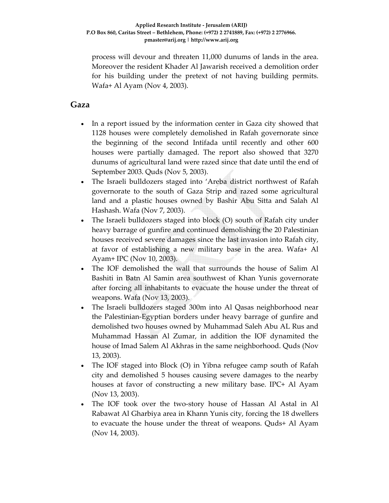process will devour and threaten 11,000 dunums of lands in the area. Moreover the resident Khader Al Jawarish received a demolition order for his building under the pretext of not having building permits. Wafa+ Al Ayam (Nov 4, 2003).

#### **Gaza**

- In a report issued by the information center in Gaza city showed that 1128 houses were completely demolished in Rafah governorate since the beginning of the second Intifada until recently and other 600 houses were partially damaged. The report also showed that 3270 dunums of agricultural land were razed since that date until the end of September 2003. Quds (Nov 5, 2003).
- The Israeli bulldozers staged into 'Areba district northwest of Rafah governorate to the south of Gaza Strip and razed some agricultural land and a plastic houses owned by Bashir Abu Sitta and Salah Al Hashash. Wafa (Nov 7, 2003).
- The Israeli bulldozers staged into block (O) south of Rafah city under heavy barrage of gunfire and continued demolishing the 20 Palestinian houses received severe damages since the last invasion into Rafah city, at favor of establishing a new military base in the area. Wafa+ Al Ayam+ IPC (Nov 10, 2003).
- The IOF demolished the wall that surrounds the house of Salim Al Bashiti in Batn Al Samin area southwest of Khan Yunis governorate after forcing all inhabitants to evacuate the house under the threat of weapons. Wafa (Nov 13, 2003).
- The Israeli bulldozers staged 300m into Al Qasas neighborhood near the Palestinian‐Egyptian borders under heavy barrage of gunfire and demolished two houses owned by Muhammad Saleh Abu AL Rus and Muhammad Hassan Al Zumar, in addition the IOF dynamited the house of Imad Salem Al Akhras in the same neighborhood. Quds (Nov 13, 2003).
- The IOF staged into Block (O) in Yibna refugee camp south of Rafah city and demolished 5 houses causing severe damages to the nearby houses at favor of constructing a new military base. IPC+ Al Ayam (Nov 13, 2003).
- The IOF took over the two‐story house of Hassan Al Astal in Al Rabawat Al Gharbiya area in Khann Yunis city, forcing the 18 dwellers to evacuate the house under the threat of weapons. Quds+ Al Ayam (Nov 14, 2003).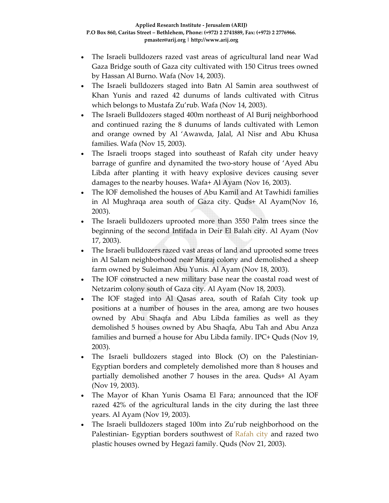- The Israeli bulldozers razed vast areas of agricultural land near Wad Gaza Bridge south of Gaza city cultivated with 150 Citrus trees owned by Hassan Al Burno. Wafa (Nov 14, 2003).
- The Israeli bulldozers staged into Batn Al Samin area southwest of Khan Yunis and razed 42 dunums of lands cultivated with Citrus which belongs to Mustafa Zu'rub. Wafa (Nov 14, 2003).
- The Israeli Bulldozers staged 400m northeast of Al Burij neighborhood and continued razing the 8 dunums of lands cultivated with Lemon and orange owned by Al 'Awawda, Jalal, Al Nisr and Abu Khusa families. Wafa (Nov 15, 2003).
- The Israeli troops staged into southeast of Rafah city under heavy barrage of gunfire and dynamited the two‐story house of 'Ayed Abu Libda after planting it with heavy explosive devices causing sever damages to the nearby houses. Wafa+ Al Ayam (Nov 16, 2003).
- The IOF demolished the houses of Abu Kamil and At Tawhidi families in Al Mughraqa area south of Gaza city. Quds+ Al Ayam(Nov 16, 2003).
- The Israeli bulldozers uprooted more than 3550 Palm trees since the beginning of the second Intifada in Deir El Balah city. Al Ayam (Nov 17, 2003).
- The Israeli bulldozers razed vast areas of land and uprooted some trees in Al Salam neighborhood near Muraj colony and demolished a sheep farm owned by Suleiman Abu Yunis. Al Ayam (Nov 18, 2003).
- The IOF constructed a new military base near the coastal road west of Netzarim colony south of Gaza city. Al Ayam (Nov 18, 2003).
- The IOF staged into Al Qasas area, south of Rafah City took up positions at a number of houses in the area, among are two houses owned by Abu Shaqfa and Abu Libda families as well as they demolished 5 houses owned by Abu Shaqfa, Abu Tah and Abu Anza families and burned a house for Abu Libda family. IPC+ Quds (Nov 19, 2003).
- The Israeli bulldozers staged into Block (O) on the Palestinian-Egyptian borders and completely demolished more than 8 houses and partially demolished another 7 houses in the area. Quds+ Al Ayam (Nov 19, 2003).
- The Mayor of Khan Yunis Osama El Fara; announced that the IOF razed 42% of the agricultural lands in the city during the last three years. Al Ayam (Nov 19, 2003).
- The Israeli bulldozers staged 100m into Zu'rub neighborhood on the Palestinian- Egyptian borders southwest of Rafah city and razed two plastic houses owned by Hegazi family. Quds (Nov 21, 2003).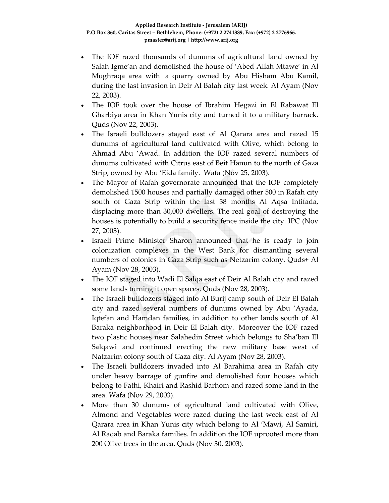- The IOF razed thousands of dunums of agricultural land owned by Salah Igme'an and demolished the house of 'Abed Allah Mtawe' in Al Mughraqa area with a quarry owned by Abu Hisham Abu Kamil, during the last invasion in Deir Al Balah city last week. Al Ayam (Nov 22, 2003).
- The IOF took over the house of Ibrahim Hegazi in El Rabawat El Gharbiya area in Khan Yunis city and turned it to a military barrack. Quds (Nov 22, 2003).
- The Israeli bulldozers staged east of Al Qarara area and razed 15 dunums of agricultural land cultivated with Olive, which belong to Ahmad Abu 'Awad. In addition the IOF razed several numbers of dunums cultivated with Citrus east of Beit Hanun to the north of Gaza Strip, owned by Abu 'Eida family. Wafa (Nov 25, 2003).
- The Mayor of Rafah governorate announced that the IOF completely demolished 1500 houses and partially damaged other 500 in Rafah city south of Gaza Strip within the last 38 months Al Aqsa Intifada, displacing more than 30,000 dwellers. The real goal of destroying the houses is potentially to build a security fence inside the city. IPC (Nov 27, 2003).
- Israeli Prime Minister Sharon announced that he is ready to join colonization complexes in the West Bank for dismantling several numbers of colonies in Gaza Strip such as Netzarim colony. Quds+ Al Ayam (Nov 28, 2003).
- The IOF staged into Wadi El Salqa east of Deir Al Balah city and razed some lands turning it open spaces. Quds (Nov 28, 2003).
- The Israeli bulldozers staged into Al Burij camp south of Deir El Balah city and razed several numbers of dunums owned by Abu 'Ayada, Iqtefan and Hamdan families, in addition to other lands south of Al Baraka neighborhood in Deir El Balah city. Moreover the IOF razed two plastic houses near Salahedin Street which belongs to Sha'ban El Salqawi and continued erecting the new military base west of Natzarim colony south of Gaza city. Al Ayam (Nov 28, 2003).
- The Israeli bulldozers invaded into Al Barahima area in Rafah city under heavy barrage of gunfire and demolished four houses which belong to Fathi, Khairi and Rashid Barhom and razed some land in the area. Wafa (Nov 29, 2003).
- More than 30 dunums of agricultural land cultivated with Olive, Almond and Vegetables were razed during the last week east of Al Qarara area in Khan Yunis city which belong to Al 'Mawi, Al Samiri, Al Raqab and Baraka families. In addition the IOF uprooted more than 200 Olive trees in the area. Quds (Nov 30, 2003).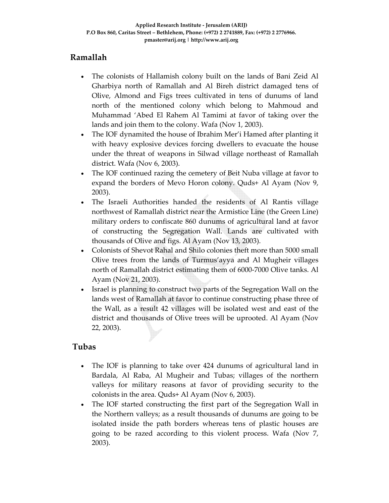## **Ramallah**

- The colonists of Hallamish colony built on the lands of Bani Zeid Al Gharbiya north of Ramallah and Al Bireh district damaged tens of Olive, Almond and Figs trees cultivated in tens of dunums of land north of the mentioned colony which belong to Mahmoud and Muhammad 'Abed El Rahem Al Tamimi at favor of taking over the lands and join them to the colony. Wafa (Nov 1, 2003).
- The IOF dynamited the house of Ibrahim Mer'i Hamed after planting it with heavy explosive devices forcing dwellers to evacuate the house under the threat of weapons in Silwad village northeast of Ramallah district. Wafa (Nov 6, 2003).
- The IOF continued razing the cemetery of Beit Nuba village at favor to expand the borders of Mevo Horon colony. Quds+ Al Ayam (Nov 9, 2003).
- The Israeli Authorities handed the residents of Al Rantis village northwest of Ramallah district near the Armistice Line (the Green Line) military orders to confiscate 860 dunums of agricultural land at favor of constructing the Segregation Wall. Lands are cultivated with thousands of Olive and figs. Al Ayam (Nov 13, 2003).
- Colonists of Shevot Rahal and Shilo colonies theft more than 5000 small Olive trees from the lands of Turmus'ayya and Al Mugheir villages north of Ramallah district estimating them of 6000‐7000 Olive tanks. Al Ayam (Nov 21, 2003).
- Israel is planning to construct two parts of the Segregation Wall on the lands west of Ramallah at favor to continue constructing phase three of the Wall, as a result 42 villages will be isolated west and east of the district and thousands of Olive trees will be uprooted. Al Ayam (Nov 22, 2003).

#### **Tubas**

- The IOF is planning to take over 424 dunums of agricultural land in Bardala, Al Raba, Al Mugheir and Tubas; villages of the northern valleys for military reasons at favor of providing security to the colonists in the area. Quds+ Al Ayam (Nov 6, 2003).
- The IOF started constructing the first part of the Segregation Wall in the Northern valleys; as a result thousands of dunums are going to be isolated inside the path borders whereas tens of plastic houses are going to be razed according to this violent process. Wafa (Nov 7, 2003).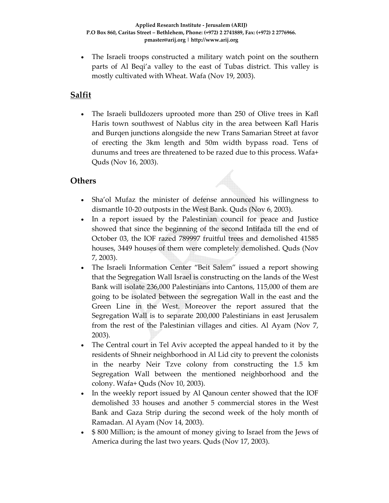• The Israeli troops constructed a military watch point on the southern parts of Al Beqi'a valley to the east of Tubas district. This valley is mostly cultivated with Wheat. Wafa (Nov 19, 2003).

#### **Salfit**

• The Israeli bulldozers uprooted more than 250 of Olive trees in Kafl Haris town southwest of Nablus city in the area between Kafl Haris and Burqen junctions alongside the new Trans Samarian Street at favor of erecting the 3km length and 50m width bypass road. Tens of dunums and trees are threatened to be razed due to this process. Wafa+ Quds (Nov 16, 2003).

## **Others**

- Sha'ol Mufaz the minister of defense announced his willingness to dismantle 10‐20 outposts in the West Bank. Quds (Nov 6, 2003).
- In a report issued by the Palestinian council for peace and Justice showed that since the beginning of the second Intifada till the end of October 03, the IOF razed 789997 fruitful trees and demolished 41585 houses, 3449 houses of them were completely demolished. Quds (Nov 7, 2003).
- The Israeli Information Center "Beit Salem" issued a report showing that the Segregation Wall Israel is constructing on the lands of the West Bank will isolate 236,000 Palestinians into Cantons, 115,000 of them are going to be isolated between the segregation Wall in the east and the Green Line in the West. Moreover the report assured that the Segregation Wall is to separate 200,000 Palestinians in east Jerusalem from the rest of the Palestinian villages and cities. Al Ayam (Nov 7, 2003).
- The Central court in Tel Aviv accepted the appeal handed to it by the residents of Shneir neighborhood in Al Lid city to prevent the colonists in the nearby Neir Tzve colony from constructing the 1.5 km Segregation Wall between the mentioned neighborhood and the colony. Wafa+ Quds (Nov 10, 2003).
- In the weekly report issued by Al Qanoun center showed that the IOF demolished 33 houses and another 5 commercial stores in the West Bank and Gaza Strip during the second week of the holy month of Ramadan. Al Ayam (Nov 14, 2003).
- \$ 800 Million; is the amount of money giving to Israel from the Jews of America during the last two years. Quds (Nov 17, 2003).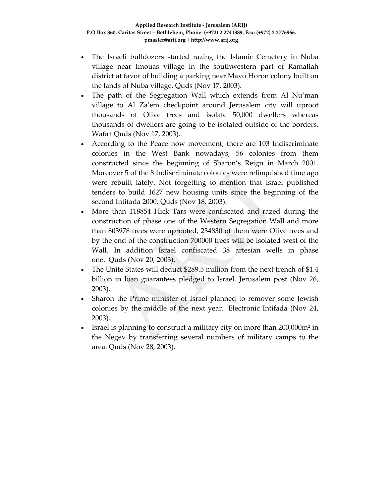- The Israeli bulldozers started razing the Islamic Cemetery in Nuba village near Imouas village in the southwestern part of Ramallah district at favor of building a parking near Mavo Horon colony built on the lands of Nuba village. Quds (Nov 17, 2003).
- The path of the Segregation Wall which extends from Al Nu'man village to Al Za'em checkpoint around Jerusalem city will uproot thousands of Olive trees and isolate 50,000 dwellers whereas thousands of dwellers are going to be isolated outside of the borders. Wafa+ Quds (Nov 17, 2003).
- According to the Peace now movement; there are 103 Indiscriminate colonies in the West Bank nowadays, 56 colonies from them constructed since the beginning of Sharon's Reign in March 2001. Moreover 5 of the 8 Indiscriminate colonies were relinquished time ago were rebuilt lately. Not forgetting to mention that Israel published tenders to build 1627 new housing units since the beginning of the second Intifada 2000. Quds (Nov 18, 2003).
- More than 118854 Hick Tars were confiscated and razed during the construction of phase one of the Western Segregation Wall and more than 803978 trees were uprooted, 234830 of them were Olive trees and by the end of the construction 700000 trees will be isolated west of the Wall. In addition Israel confiscated 38 artesian wells in phase one. Quds (Nov 20, 2003).
- The Unite States will deduct \$289.5 million from the next trench of \$1.4 billion in loan guarantees pledged to Israel. Jerusalem post (Nov 26, 2003).
- Sharon the Prime minister of Israel planned to remover some Jewish colonies by the middle of the next year. Electronic Intifada (Nov 24, 2003).
- Israel is planning to construct a military city on more than 200,000m<sup>2</sup> in the Negev by transferring several numbers of military camps to the area. Quds (Nov 28, 2003).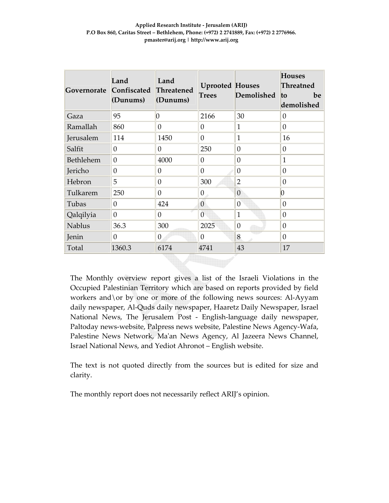| Governorate   | Land<br>Confiscated<br>(Dunums) | Land<br>Threatened<br>(Dunums) | <b>Uprooted Houses</b><br><b>Trees</b> | Demolished       | <b>Houses</b><br><b>Threatned</b><br>to<br>be<br>demolished |
|---------------|---------------------------------|--------------------------------|----------------------------------------|------------------|-------------------------------------------------------------|
| Gaza          | 95                              | $\vert 0 \vert$                | 2166                                   | 30               | $\theta$                                                    |
| Ramallah      | 860                             | $\overline{0}$                 | $\theta$                               | $\mathbf{1}$     | $\theta$                                                    |
| Jerusalem     | 114                             | 1450                           | $\overline{0}$                         | $\mathbf{1}$     | 16                                                          |
| Salfit        | $\overline{0}$                  | $\Omega$                       | 250                                    | $\boldsymbol{0}$ | $\theta$                                                    |
| Bethlehem     | $\theta$                        | 4000                           | $\theta$                               | $\theta$         | 1                                                           |
| Jericho       | $\theta$                        | $\theta$                       | $\theta$                               | $\boldsymbol{0}$ | $\theta$                                                    |
| Hebron        | 5                               | $\overline{0}$                 | 300                                    | $\overline{2}$   | $\theta$                                                    |
| Tulkarem      | 250                             | $\theta$                       | $\boldsymbol{0}$                       | $\mathbf{0}$     | $\overline{0}$                                              |
| Tubas         | $\overline{0}$                  | 424                            | $\overline{0}$                         | $\overline{0}$   | $\theta$                                                    |
| Qalqilyia     | $\overline{0}$                  | 0                              | $\Omega$                               | $\overline{1}$   | $\theta$                                                    |
| <b>Nablus</b> | 36.3                            | 300                            | 2025                                   | $\boldsymbol{0}$ | 0                                                           |
| Jenin         | $\theta$                        | $\overline{0}$                 | $\theta$                               | 8                | $\theta$                                                    |
| Total         | 1360.3                          | 6174                           | 4741                                   | 43               | 17                                                          |
|               |                                 |                                |                                        |                  |                                                             |

The Monthly overview report gives a list of the Israeli Violations in the Occupied Palestinian Territory which are based on reports provided by field workers and\or by one or more of the following news sources: Al‐Ayyam daily newspaper, Al‐Quds daily newspaper, Haaretz Daily Newspaper, Israel National News, The Jerusalem Post ‐ English‐language daily newspaper, Paltoday news‐website, Palpress news website, Palestine News Agency‐Wafa, Palestine News Network, Ma'an News Agency, Al Jazeera News Channel, Israel National News, and Yediot Ahronot – English website.

The text is not quoted directly from the sources but is edited for size and clarity.

The monthly report does not necessarily reflect ARIJ's opinion.